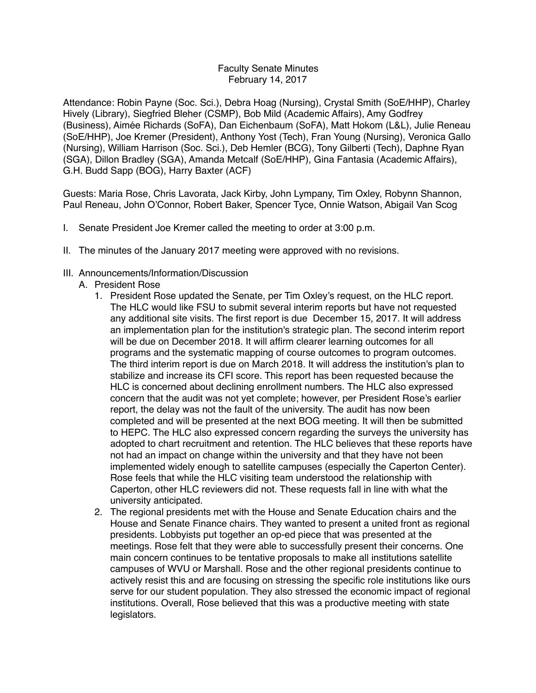## Faculty Senate Minutes February 14, 2017

Attendance: Robin Payne (Soc. Sci.), Debra Hoag (Nursing), Crystal Smith (SoE/HHP), Charley Hively (Library), Siegfried Bleher (CSMP), Bob Mild (Academic Affairs), Amy Godfrey (Business), Aimée Richards (SoFA), Dan Eichenbaum (SoFA), Matt Hokom (L&L), Julie Reneau (SoE/HHP), Joe Kremer (President), Anthony Yost (Tech), Fran Young (Nursing), Veronica Gallo (Nursing), William Harrison (Soc. Sci.), Deb Hemler (BCG), Tony Gilberti (Tech), Daphne Ryan (SGA), Dillon Bradley (SGA), Amanda Metcalf (SoE/HHP), Gina Fantasia (Academic Affairs), G.H. Budd Sapp (BOG), Harry Baxter (ACF)

Guests: Maria Rose, Chris Lavorata, Jack Kirby, John Lympany, Tim Oxley, Robynn Shannon, Paul Reneau, John O'Connor, Robert Baker, Spencer Tyce, Onnie Watson, Abigail Van Scog

- I. Senate President Joe Kremer called the meeting to order at 3:00 p.m.
- II. The minutes of the January 2017 meeting were approved with no revisions.
- III. Announcements/Information/Discussion
	- A. President Rose
		- 1. President Rose updated the Senate, per Tim Oxley's request, on the HLC report. The HLC would like FSU to submit several interim reports but have not requested any additional site visits. The first report is due December 15, 2017. It will address an implementation plan for the institution's strategic plan. The second interim report will be due on December 2018. It will affirm clearer learning outcomes for all programs and the systematic mapping of course outcomes to program outcomes. The third interim report is due on March 2018. It will address the institution's plan to stabilize and increase its CFI score. This report has been requested because the HLC is concerned about declining enrollment numbers. The HLC also expressed concern that the audit was not yet complete; however, per President Rose's earlier report, the delay was not the fault of the university. The audit has now been completed and will be presented at the next BOG meeting. It will then be submitted to HEPC. The HLC also expressed concern regarding the surveys the university has adopted to chart recruitment and retention. The HLC believes that these reports have not had an impact on change within the university and that they have not been implemented widely enough to satellite campuses (especially the Caperton Center). Rose feels that while the HLC visiting team understood the relationship with Caperton, other HLC reviewers did not. These requests fall in line with what the university anticipated.
		- 2. The regional presidents met with the House and Senate Education chairs and the House and Senate Finance chairs. They wanted to present a united front as regional presidents. Lobbyists put together an op-ed piece that was presented at the meetings. Rose felt that they were able to successfully present their concerns. One main concern continues to be tentative proposals to make all institutions satellite campuses of WVU or Marshall. Rose and the other regional presidents continue to actively resist this and are focusing on stressing the specific role institutions like ours serve for our student population. They also stressed the economic impact of regional institutions. Overall, Rose believed that this was a productive meeting with state legislators.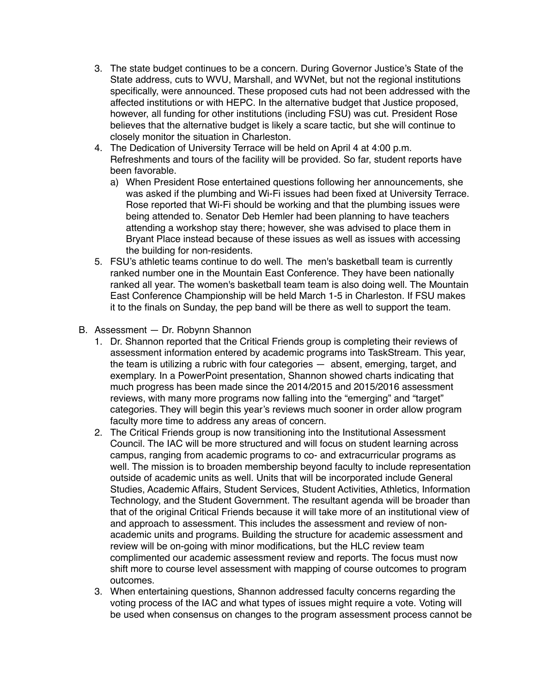- 3. The state budget continues to be a concern. During Governor Justice's State of the State address, cuts to WVU, Marshall, and WVNet, but not the regional institutions specifically, were announced. These proposed cuts had not been addressed with the affected institutions or with HEPC. In the alternative budget that Justice proposed, however, all funding for other institutions (including FSU) was cut. President Rose believes that the alternative budget is likely a scare tactic, but she will continue to closely monitor the situation in Charleston.
- 4. The Dedication of University Terrace will be held on April 4 at 4:00 p.m. Refreshments and tours of the facility will be provided. So far, student reports have been favorable.
	- a) When President Rose entertained questions following her announcements, she was asked if the plumbing and Wi-Fi issues had been fixed at University Terrace. Rose reported that Wi-Fi should be working and that the plumbing issues were being attended to. Senator Deb Hemler had been planning to have teachers attending a workshop stay there; however, she was advised to place them in Bryant Place instead because of these issues as well as issues with accessing the building for non-residents.
- 5. FSU's athletic teams continue to do well. The men's basketball team is currently ranked number one in the Mountain East Conference. They have been nationally ranked all year. The women's basketball team team is also doing well. The Mountain East Conference Championship will be held March 1-5 in Charleston. If FSU makes it to the finals on Sunday, the pep band will be there as well to support the team.
- B. Assessment Dr. Robynn Shannon
	- 1. Dr. Shannon reported that the Critical Friends group is completing their reviews of assessment information entered by academic programs into TaskStream. This year, the team is utilizing a rubric with four categories — absent, emerging, target, and exemplary. In a PowerPoint presentation, Shannon showed charts indicating that much progress has been made since the 2014/2015 and 2015/2016 assessment reviews, with many more programs now falling into the "emerging" and "target" categories. They will begin this year's reviews much sooner in order allow program faculty more time to address any areas of concern.
	- 2. The Critical Friends group is now transitioning into the Institutional Assessment Council. The IAC will be more structured and will focus on student learning across campus, ranging from academic programs to co- and extracurricular programs as well. The mission is to broaden membership beyond faculty to include representation outside of academic units as well. Units that will be incorporated include General Studies, Academic Affairs, Student Services, Student Activities, Athletics, Information Technology, and the Student Government. The resultant agenda will be broader than that of the original Critical Friends because it will take more of an institutional view of and approach to assessment. This includes the assessment and review of nonacademic units and programs. Building the structure for academic assessment and review will be on-going with minor modifications, but the HLC review team complimented our academic assessment review and reports. The focus must now shift more to course level assessment with mapping of course outcomes to program outcomes.
	- 3. When entertaining questions, Shannon addressed faculty concerns regarding the voting process of the IAC and what types of issues might require a vote. Voting will be used when consensus on changes to the program assessment process cannot be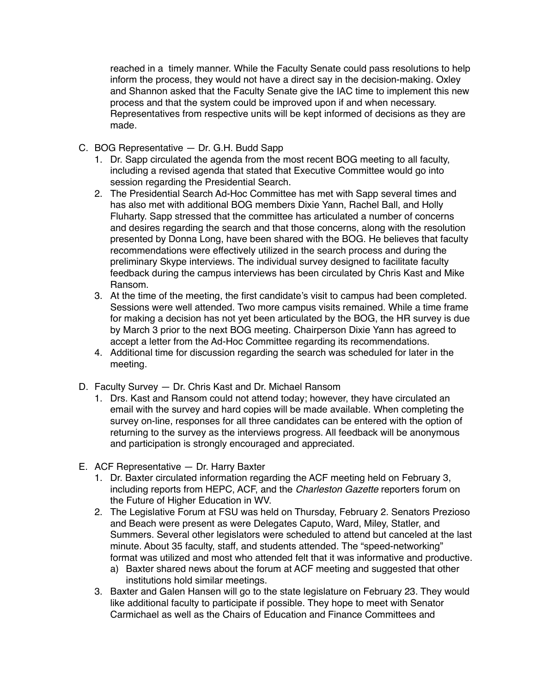reached in a timely manner. While the Faculty Senate could pass resolutions to help inform the process, they would not have a direct say in the decision-making. Oxley and Shannon asked that the Faculty Senate give the IAC time to implement this new process and that the system could be improved upon if and when necessary. Representatives from respective units will be kept informed of decisions as they are made.

- C. BOG Representative Dr. G.H. Budd Sapp
	- 1. Dr. Sapp circulated the agenda from the most recent BOG meeting to all faculty, including a revised agenda that stated that Executive Committee would go into session regarding the Presidential Search.
	- 2. The Presidential Search Ad-Hoc Committee has met with Sapp several times and has also met with additional BOG members Dixie Yann, Rachel Ball, and Holly Fluharty. Sapp stressed that the committee has articulated a number of concerns and desires regarding the search and that those concerns, along with the resolution presented by Donna Long, have been shared with the BOG. He believes that faculty recommendations were effectively utilized in the search process and during the preliminary Skype interviews. The individual survey designed to facilitate faculty feedback during the campus interviews has been circulated by Chris Kast and Mike Ransom.
	- 3. At the time of the meeting, the first candidate's visit to campus had been completed. Sessions were well attended. Two more campus visits remained. While a time frame for making a decision has not yet been articulated by the BOG, the HR survey is due by March 3 prior to the next BOG meeting. Chairperson Dixie Yann has agreed to accept a letter from the Ad-Hoc Committee regarding its recommendations.
	- 4. Additional time for discussion regarding the search was scheduled for later in the meeting.
- D. Faculty Survey Dr. Chris Kast and Dr. Michael Ransom
	- 1. Drs. Kast and Ransom could not attend today; however, they have circulated an email with the survey and hard copies will be made available. When completing the survey on-line, responses for all three candidates can be entered with the option of returning to the survey as the interviews progress. All feedback will be anonymous and participation is strongly encouraged and appreciated.
- E. ACF Representative Dr. Harry Baxter
	- 1. Dr. Baxter circulated information regarding the ACF meeting held on February 3, including reports from HEPC, ACF, and the *Charleston Gazette* reporters forum on the Future of Higher Education in WV.
	- 2. The Legislative Forum at FSU was held on Thursday, February 2. Senators Prezioso and Beach were present as were Delegates Caputo, Ward, Miley, Statler, and Summers. Several other legislators were scheduled to attend but canceled at the last minute. About 35 faculty, staff, and students attended. The "speed-networking" format was utilized and most who attended felt that it was informative and productive.
		- a) Baxter shared news about the forum at ACF meeting and suggested that other institutions hold similar meetings.
	- 3. Baxter and Galen Hansen will go to the state legislature on February 23. They would like additional faculty to participate if possible. They hope to meet with Senator Carmichael as well as the Chairs of Education and Finance Committees and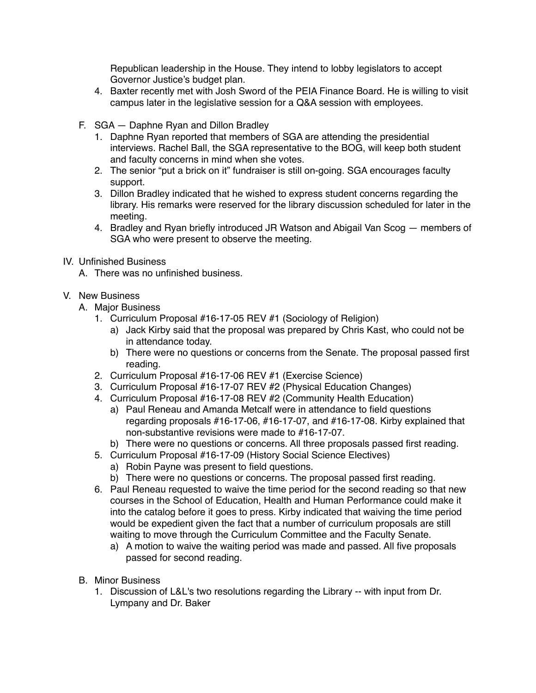Republican leadership in the House. They intend to lobby legislators to accept Governor Justice's budget plan.

- 4. Baxter recently met with Josh Sword of the PEIA Finance Board. He is willing to visit campus later in the legislative session for a Q&A session with employees.
- F. SGA Daphne Ryan and Dillon Bradley
	- 1. Daphne Ryan reported that members of SGA are attending the presidential interviews. Rachel Ball, the SGA representative to the BOG, will keep both student and faculty concerns in mind when she votes.
	- 2. The senior "put a brick on it" fundraiser is still on-going. SGA encourages faculty support.
	- 3. Dillon Bradley indicated that he wished to express student concerns regarding the library. His remarks were reserved for the library discussion scheduled for later in the meeting.
	- 4. Bradley and Ryan briefly introduced JR Watson and Abigail Van Scog members of SGA who were present to observe the meeting.
- IV. Unfinished Business
	- A. There was no unfinished business.

## V. New Business

- A. Major Business
	- 1. Curriculum Proposal #16-17-05 REV #1 (Sociology of Religion)
		- a) Jack Kirby said that the proposal was prepared by Chris Kast, who could not be in attendance today.
		- b) There were no questions or concerns from the Senate. The proposal passed first reading.
	- 2. Curriculum Proposal #16-17-06 REV #1 (Exercise Science)
	- 3. Curriculum Proposal #16-17-07 REV #2 (Physical Education Changes)
	- 4. Curriculum Proposal #16-17-08 REV #2 (Community Health Education)
		- a) Paul Reneau and Amanda Metcalf were in attendance to field questions regarding proposals #16-17-06, #16-17-07, and #16-17-08. Kirby explained that non-substantive revisions were made to #16-17-07.
		- b) There were no questions or concerns. All three proposals passed first reading.
	- 5. Curriculum Proposal #16-17-09 (History Social Science Electives)
		- a) Robin Payne was present to field questions.
		- b) There were no questions or concerns. The proposal passed first reading.
	- 6. Paul Reneau requested to waive the time period for the second reading so that new courses in the School of Education, Health and Human Performance could make it into the catalog before it goes to press. Kirby indicated that waiving the time period would be expedient given the fact that a number of curriculum proposals are still waiting to move through the Curriculum Committee and the Faculty Senate.
		- a) A motion to waive the waiting period was made and passed. All five proposals passed for second reading.
- B. Minor Business
	- 1. Discussion of L&L's two resolutions regarding the Library -- with input from Dr. Lympany and Dr. Baker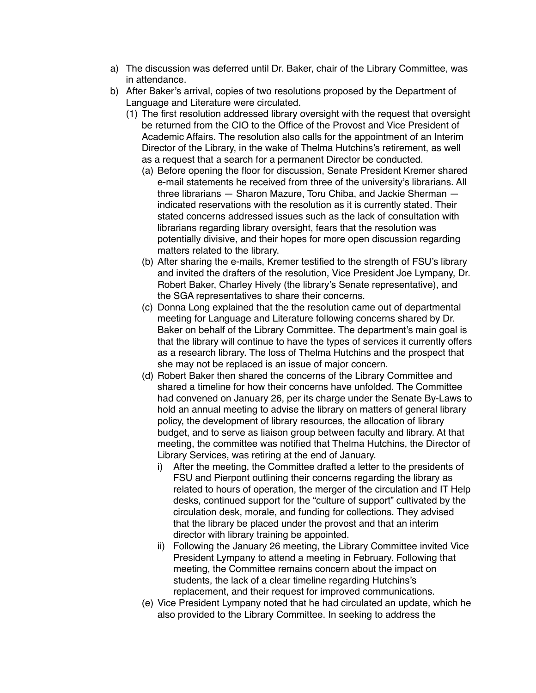- a) The discussion was deferred until Dr. Baker, chair of the Library Committee, was in attendance.
- b) After Baker's arrival, copies of two resolutions proposed by the Department of Language and Literature were circulated.
	- (1) The first resolution addressed library oversight with the request that oversight be returned from the CIO to the Office of the Provost and Vice President of Academic Affairs. The resolution also calls for the appointment of an Interim Director of the Library, in the wake of Thelma Hutchins's retirement, as well as a request that a search for a permanent Director be conducted.
		- (a) Before opening the floor for discussion, Senate President Kremer shared e-mail statements he received from three of the university's librarians. All three librarians — Sharon Mazure, Toru Chiba, and Jackie Sherman indicated reservations with the resolution as it is currently stated. Their stated concerns addressed issues such as the lack of consultation with librarians regarding library oversight, fears that the resolution was potentially divisive, and their hopes for more open discussion regarding matters related to the library.
		- (b) After sharing the e-mails, Kremer testified to the strength of FSU's library and invited the drafters of the resolution, Vice President Joe Lympany, Dr. Robert Baker, Charley Hively (the library's Senate representative), and the SGA representatives to share their concerns.
		- (c) Donna Long explained that the the resolution came out of departmental meeting for Language and Literature following concerns shared by Dr. Baker on behalf of the Library Committee. The department's main goal is that the library will continue to have the types of services it currently offers as a research library. The loss of Thelma Hutchins and the prospect that she may not be replaced is an issue of major concern.
		- (d) Robert Baker then shared the concerns of the Library Committee and shared a timeline for how their concerns have unfolded. The Committee had convened on January 26, per its charge under the Senate By-Laws to hold an annual meeting to advise the library on matters of general library policy, the development of library resources, the allocation of library budget, and to serve as liaison group between faculty and library. At that meeting, the committee was notified that Thelma Hutchins, the Director of Library Services, was retiring at the end of January.
			- i) After the meeting, the Committee drafted a letter to the presidents of FSU and Pierpont outlining their concerns regarding the library as related to hours of operation, the merger of the circulation and IT Help desks, continued support for the "culture of support" cultivated by the circulation desk, morale, and funding for collections. They advised that the library be placed under the provost and that an interim director with library training be appointed.
			- ii) Following the January 26 meeting, the Library Committee invited Vice President Lympany to attend a meeting in February. Following that meeting, the Committee remains concern about the impact on students, the lack of a clear timeline regarding Hutchins's replacement, and their request for improved communications.
		- (e) Vice President Lympany noted that he had circulated an update, which he also provided to the Library Committee. In seeking to address the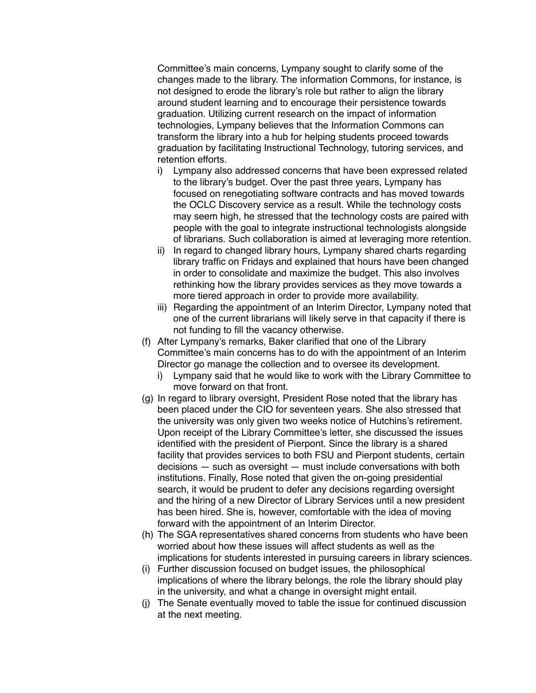Committee's main concerns, Lympany sought to clarify some of the changes made to the library. The information Commons, for instance, is not designed to erode the library's role but rather to align the library around student learning and to encourage their persistence towards graduation. Utilizing current research on the impact of information technologies, Lympany believes that the Information Commons can transform the library into a hub for helping students proceed towards graduation by facilitating Instructional Technology, tutoring services, and retention efforts.

- i) Lympany also addressed concerns that have been expressed related to the library's budget. Over the past three years, Lympany has focused on renegotiating software contracts and has moved towards the OCLC Discovery service as a result. While the technology costs may seem high, he stressed that the technology costs are paired with people with the goal to integrate instructional technologists alongside of librarians. Such collaboration is aimed at leveraging more retention.
- ii) In regard to changed library hours, Lympany shared charts regarding library traffic on Fridays and explained that hours have been changed in order to consolidate and maximize the budget. This also involves rethinking how the library provides services as they move towards a more tiered approach in order to provide more availability.
- iii) Regarding the appointment of an Interim Director, Lympany noted that one of the current librarians will likely serve in that capacity if there is not funding to fill the vacancy otherwise.
- (f) After Lympany's remarks, Baker clarified that one of the Library Committee's main concerns has to do with the appointment of an Interim Director go manage the collection and to oversee its development.
	- i) Lympany said that he would like to work with the Library Committee to move forward on that front.
- (g) In regard to library oversight, President Rose noted that the library has been placed under the CIO for seventeen years. She also stressed that the university was only given two weeks notice of Hutchins's retirement. Upon receipt of the Library Committee's letter, she discussed the issues identified with the president of Pierpont. Since the library is a shared facility that provides services to both FSU and Pierpont students, certain decisions — such as oversight — must include conversations with both institutions. Finally, Rose noted that given the on-going presidential search, it would be prudent to defer any decisions regarding oversight and the hiring of a new Director of Library Services until a new president has been hired. She is, however, comfortable with the idea of moving forward with the appointment of an Interim Director.
- (h) The SGA representatives shared concerns from students who have been worried about how these issues will affect students as well as the implications for students interested in pursuing careers in library sciences.
- (i) Further discussion focused on budget issues, the philosophical implications of where the library belongs, the role the library should play in the university, and what a change in oversight might entail.
- (j) The Senate eventually moved to table the issue for continued discussion at the next meeting.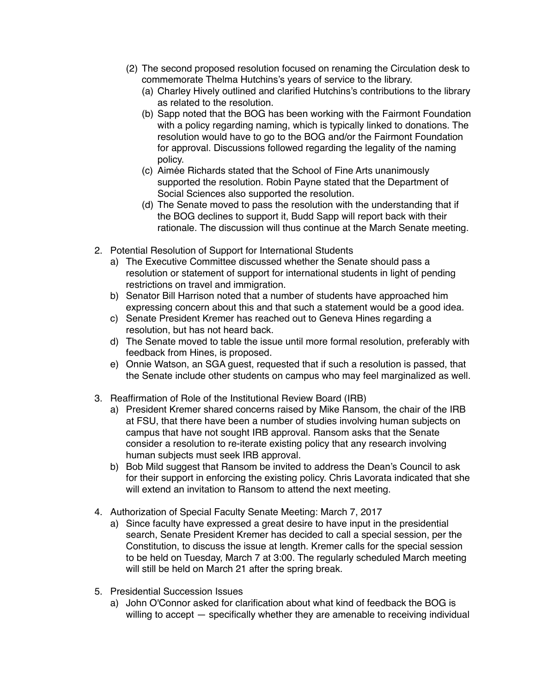- (2) The second proposed resolution focused on renaming the Circulation desk to commemorate Thelma Hutchins's years of service to the library.
	- (a) Charley Hively outlined and clarified Hutchins's contributions to the library as related to the resolution.
	- (b) Sapp noted that the BOG has been working with the Fairmont Foundation with a policy regarding naming, which is typically linked to donations. The resolution would have to go to the BOG and/or the Fairmont Foundation for approval. Discussions followed regarding the legality of the naming policy.
	- (c) Aimée Richards stated that the School of Fine Arts unanimously supported the resolution. Robin Payne stated that the Department of Social Sciences also supported the resolution.
	- (d) The Senate moved to pass the resolution with the understanding that if the BOG declines to support it, Budd Sapp will report back with their rationale. The discussion will thus continue at the March Senate meeting.
- 2. Potential Resolution of Support for International Students
	- a) The Executive Committee discussed whether the Senate should pass a resolution or statement of support for international students in light of pending restrictions on travel and immigration.
	- b) Senator Bill Harrison noted that a number of students have approached him expressing concern about this and that such a statement would be a good idea.
	- c) Senate President Kremer has reached out to Geneva Hines regarding a resolution, but has not heard back.
	- d) The Senate moved to table the issue until more formal resolution, preferably with feedback from Hines, is proposed.
	- e) Onnie Watson, an SGA guest, requested that if such a resolution is passed, that the Senate include other students on campus who may feel marginalized as well.
- 3. Reaffirmation of Role of the Institutional Review Board (IRB)
	- a) President Kremer shared concerns raised by Mike Ransom, the chair of the IRB at FSU, that there have been a number of studies involving human subjects on campus that have not sought IRB approval. Ransom asks that the Senate consider a resolution to re-iterate existing policy that any research involving human subjects must seek IRB approval.
	- b) Bob Mild suggest that Ransom be invited to address the Dean's Council to ask for their support in enforcing the existing policy. Chris Lavorata indicated that she will extend an invitation to Ransom to attend the next meeting.
- 4. Authorization of Special Faculty Senate Meeting: March 7, 2017
	- a) Since faculty have expressed a great desire to have input in the presidential search, Senate President Kremer has decided to call a special session, per the Constitution, to discuss the issue at length. Kremer calls for the special session to be held on Tuesday, March 7 at 3:00. The regularly scheduled March meeting will still be held on March 21 after the spring break.
- 5. Presidential Succession Issues
	- a) John O'Connor asked for clarification about what kind of feedback the BOG is willing to accept — specifically whether they are amenable to receiving individual